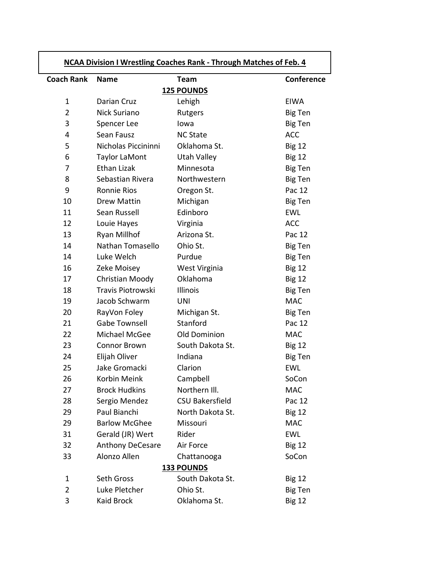| <b>NCAA Division I Wrestling Coaches Rank - Through Matches of Feb. 4</b> |                      |                        |                   |
|---------------------------------------------------------------------------|----------------------|------------------------|-------------------|
| <b>Coach Rank</b>                                                         | <b>Name</b>          | <b>Team</b>            | <b>Conference</b> |
|                                                                           |                      | <b>125 POUNDS</b>      |                   |
| $\mathbf{1}$                                                              | Darian Cruz          | Lehigh                 | <b>EIWA</b>       |
| $\overline{2}$                                                            | Nick Suriano         | Rutgers                | Big Ten           |
| 3                                                                         | Spencer Lee          | lowa                   | Big Ten           |
| 4                                                                         | Sean Fausz           | <b>NC State</b>        | <b>ACC</b>        |
| 5                                                                         | Nicholas Piccininni  | Oklahoma St.           | <b>Big 12</b>     |
| 6                                                                         | Taylor LaMont        | <b>Utah Valley</b>     | <b>Big 12</b>     |
| 7                                                                         | <b>Ethan Lizak</b>   | Minnesota              | <b>Big Ten</b>    |
| 8                                                                         | Sebastian Rivera     | Northwestern           | <b>Big Ten</b>    |
| 9                                                                         | <b>Ronnie Rios</b>   | Oregon St.             | Pac 12            |
| 10                                                                        | Drew Mattin          | Michigan               | Big Ten           |
| 11                                                                        | Sean Russell         | Edinboro               | <b>EWL</b>        |
| 12                                                                        | Louie Hayes          | Virginia               | <b>ACC</b>        |
| 13                                                                        | Ryan Millhof         | Arizona St.            | Pac 12            |
| 14                                                                        | Nathan Tomasello     | Ohio St.               | Big Ten           |
| 14                                                                        | Luke Welch           | Purdue                 | <b>Big Ten</b>    |
| 16                                                                        | Zeke Moisey          | West Virginia          | <b>Big 12</b>     |
| 17                                                                        | Christian Moody      | Oklahoma               | <b>Big 12</b>     |
| 18                                                                        | Travis Piotrowski    | <b>Illinois</b>        | <b>Big Ten</b>    |
| 19                                                                        | Jacob Schwarm        | <b>UNI</b>             | <b>MAC</b>        |
| 20                                                                        | RayVon Foley         | Michigan St.           | <b>Big Ten</b>    |
| 21                                                                        | <b>Gabe Townsell</b> | Stanford               | Pac 12            |
| 22                                                                        | Michael McGee        | Old Dominion           | <b>MAC</b>        |
| 23                                                                        | Connor Brown         | South Dakota St.       | <b>Big 12</b>     |
| 24                                                                        | Elijah Oliver        | Indiana                | Big Ten           |
| 25                                                                        | Jake Gromacki        | Clarion                | <b>EWL</b>        |
| 26                                                                        | Korbin Meink         | Campbell               | SoCon             |
| 27                                                                        | <b>Brock Hudkins</b> | Northern III.          | <b>MAC</b>        |
| 28                                                                        | Sergio Mendez        | <b>CSU Bakersfield</b> | Pac 12            |
| 29                                                                        | Paul Bianchi         | North Dakota St.       | <b>Big 12</b>     |
| 29                                                                        | <b>Barlow McGhee</b> | Missouri               | <b>MAC</b>        |
| 31                                                                        | Gerald (JR) Wert     | Rider                  | <b>EWL</b>        |
| 32                                                                        | Anthony DeCesare     | Air Force              | <b>Big 12</b>     |
| 33                                                                        | Alonzo Allen         | Chattanooga            | SoCon             |
| <b>133 POUNDS</b>                                                         |                      |                        |                   |
| $\mathbf{1}$                                                              | Seth Gross           | South Dakota St.       | <b>Big 12</b>     |
| $\overline{2}$                                                            | Luke Pletcher        | Ohio St.               | Big Ten           |
| 3                                                                         | Kaid Brock           | Oklahoma St.           | <b>Big 12</b>     |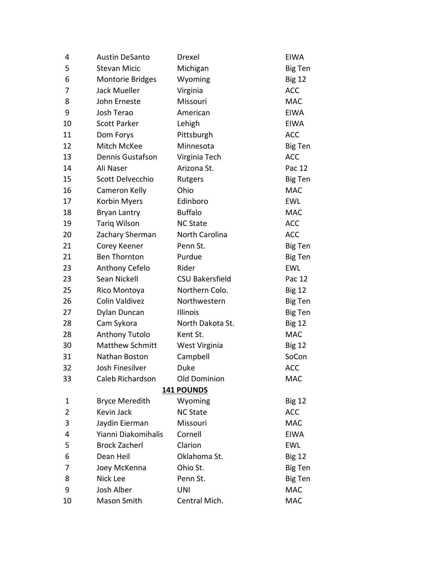| 4  | <b>Austin DeSanto</b>   | Drexel                 | <b>EIWA</b>    |
|----|-------------------------|------------------------|----------------|
| 5  | <b>Stevan Micic</b>     | Michigan               | <b>Big Ten</b> |
| 6  | <b>Montorie Bridges</b> | Wyoming                | <b>Big 12</b>  |
| 7  | Jack Mueller            | Virginia               | <b>ACC</b>     |
| 8  | John Erneste            | Missouri               | <b>MAC</b>     |
| 9  | Josh Terao              | American               | <b>EIWA</b>    |
| 10 | <b>Scott Parker</b>     | Lehigh                 | <b>EIWA</b>    |
| 11 | Dom Forys               | Pittsburgh             | <b>ACC</b>     |
| 12 | Mitch McKee             | Minnesota              | <b>Big Ten</b> |
| 13 | Dennis Gustafson        | Virginia Tech          | <b>ACC</b>     |
| 14 | Ali Naser               | Arizona St.            | Pac 12         |
| 15 | Scott Delvecchio        | Rutgers                | Big Ten        |
| 16 | Cameron Kelly           | Ohio                   | <b>MAC</b>     |
| 17 | Korbin Myers            | Edinboro               | <b>EWL</b>     |
| 18 | <b>Bryan Lantry</b>     | <b>Buffalo</b>         | <b>MAC</b>     |
| 19 | <b>Tariq Wilson</b>     | <b>NC State</b>        | <b>ACC</b>     |
| 20 | Zachary Sherman         | North Carolina         | <b>ACC</b>     |
| 21 | Corey Keener            | Penn St.               | Big Ten        |
| 21 | <b>Ben Thornton</b>     | Purdue                 | Big Ten        |
| 23 | Anthony Cefelo          | Rider                  | <b>EWL</b>     |
| 23 | Sean Nickell            | <b>CSU Bakersfield</b> | Pac 12         |
| 25 | Rico Montoya            | Northern Colo.         | <b>Big 12</b>  |
| 26 | Colin Valdivez          | Northwestern           | Big Ten        |
| 27 | Dylan Duncan            | Illinois               | Big Ten        |
| 28 | Cam Sykora              | North Dakota St.       | <b>Big 12</b>  |
| 28 | Anthony Tutolo          | Kent St.               | <b>MAC</b>     |
| 30 | <b>Matthew Schmitt</b>  | West Virginia          | <b>Big 12</b>  |
| 31 | Nathan Boston           | Campbell               | SoCon          |
| 32 | Josh Finesilver         | Duke                   | <b>ACC</b>     |
| 33 | Caleb Richardson        | <b>Old Dominion</b>    | <b>MAC</b>     |
|    |                         | 141 POUNDS             |                |
| 1  | <b>Bryce Meredith</b>   | Wyoming                | <b>Big 12</b>  |
| 2  | Kevin Jack              | <b>NC State</b>        | <b>ACC</b>     |
| 3  | Jaydin Eierman          | Missouri               | <b>MAC</b>     |
| 4  | Yianni Diakomihalis     | Cornell                | <b>EIWA</b>    |
| 5  | <b>Brock Zacherl</b>    | Clarion                | <b>EWL</b>     |
| 6  | Dean Heil               | Oklahoma St.           | <b>Big 12</b>  |
| 7  | Joey McKenna            | Ohio St.               | Big Ten        |
| 8  | Nick Lee                | Penn St.               | Big Ten        |
| 9  | <b>Josh Alber</b>       | <b>UNI</b>             | <b>MAC</b>     |
| 10 | Mason Smith             | Central Mich.          | <b>MAC</b>     |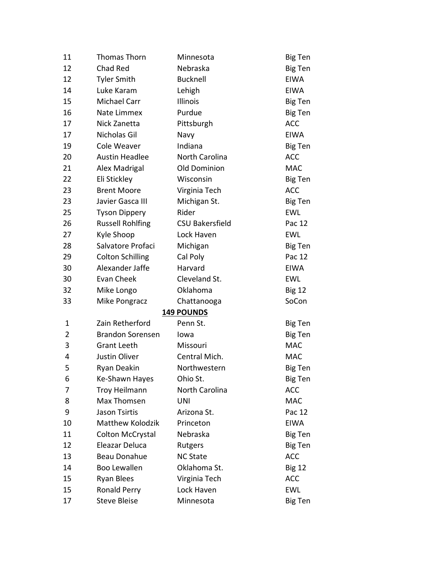| 11             | Thomas Thorn            | Minnesota              | Big Ten        |
|----------------|-------------------------|------------------------|----------------|
| 12             | Chad Red                | Nebraska               | Big Ten        |
| 12             | <b>Tyler Smith</b>      | <b>Bucknell</b>        | <b>EIWA</b>    |
| 14             | Luke Karam              | Lehigh                 | <b>EIWA</b>    |
| 15             | Michael Carr            | Illinois               | Big Ten        |
| 16             | Nate Limmex             | Purdue                 | <b>Big Ten</b> |
| 17             | Nick Zanetta            | Pittsburgh             | <b>ACC</b>     |
| 17             | Nicholas Gil            | Navy                   | <b>EIWA</b>    |
| 19             | Cole Weaver             | Indiana                | Big Ten        |
| 20             | <b>Austin Headlee</b>   | North Carolina         | <b>ACC</b>     |
| 21             | Alex Madrigal           | <b>Old Dominion</b>    | <b>MAC</b>     |
| 22             | Eli Stickley            | Wisconsin              | Big Ten        |
| 23             | <b>Brent Moore</b>      | Virginia Tech          | <b>ACC</b>     |
| 23             | Javier Gasca III        | Michigan St.           | Big Ten        |
| 25             | <b>Tyson Dippery</b>    | Rider                  | <b>EWL</b>     |
| 26             | <b>Russell Rohlfing</b> | <b>CSU Bakersfield</b> | Pac 12         |
| 27             | Kyle Shoop              | Lock Haven             | <b>EWL</b>     |
| 28             | Salvatore Profaci       | Michigan               | Big Ten        |
| 29             | <b>Colton Schilling</b> | Cal Poly               | Pac 12         |
| 30             | Alexander Jaffe         | Harvard                | <b>EIWA</b>    |
| 30             | Evan Cheek              | Cleveland St.          | <b>EWL</b>     |
| 32             | Mike Longo              | Oklahoma               | <b>Big 12</b>  |
| 33             | Mike Pongracz           | Chattanooga            | SoCon          |
|                |                         | <b>149 POUNDS</b>      |                |
| $\mathbf{1}$   | Zain Retherford         | Penn St.               | Big Ten        |
| $\overline{2}$ | <b>Brandon Sorensen</b> | Iowa                   | Big Ten        |
| 3              | <b>Grant Leeth</b>      | Missouri               | <b>MAC</b>     |
| 4              | Justin Oliver           | Central Mich.          | <b>MAC</b>     |
| 5              | <b>Ryan Deakin</b>      | Northwestern           | Big Ten        |
| 6              | Ke-Shawn Hayes          | Ohio St.               | Big Ten        |
| 7              | <b>Troy Heilmann</b>    | North Carolina         | <b>ACC</b>     |
| 8              | Max Thomsen             | UNI                    | <b>MAC</b>     |
| 9              | Jason Tsirtis           | Arizona St.            | Pac 12         |
| 10             | Matthew Kolodzik        | Princeton              | <b>EIWA</b>    |
| 11             | <b>Colton McCrystal</b> | Nebraska               | Big Ten        |
| 12             | Eleazar Deluca          | Rutgers                | Big Ten        |
| 13             | <b>Beau Donahue</b>     | <b>NC State</b>        | <b>ACC</b>     |
| 14             | Boo Lewallen            | Oklahoma St.           | <b>Big 12</b>  |
| 15             | <b>Ryan Blees</b>       | Virginia Tech          | <b>ACC</b>     |
| 15             | Ronald Perry            | Lock Haven             | <b>EWL</b>     |
| 17             | <b>Steve Bleise</b>     | Minnesota              | Big Ten        |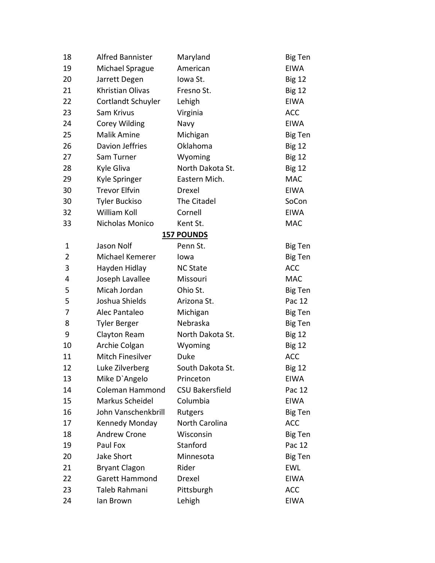| 18 | <b>Alfred Bannister</b> | Maryland               | <b>Big Ten</b> |
|----|-------------------------|------------------------|----------------|
| 19 | Michael Sprague         | American               | <b>EIWA</b>    |
| 20 | Jarrett Degen           | Iowa St.               | <b>Big 12</b>  |
| 21 | Khristian Olivas        | Fresno St.             | <b>Big 12</b>  |
| 22 | Cortlandt Schuyler      | Lehigh                 | <b>EIWA</b>    |
| 23 | Sam Krivus              | Virginia               | <b>ACC</b>     |
| 24 | Corey Wilding           | Navy                   | <b>EIWA</b>    |
| 25 | <b>Malik Amine</b>      | Michigan               | Big Ten        |
| 26 | Davion Jeffries         | Oklahoma               | <b>Big 12</b>  |
| 27 | Sam Turner              | Wyoming                | <b>Big 12</b>  |
| 28 | Kyle Gliva              | North Dakota St.       | <b>Big 12</b>  |
| 29 | Kyle Springer           | Eastern Mich.          | <b>MAC</b>     |
| 30 | <b>Trevor Elfvin</b>    | Drexel                 | <b>EIWA</b>    |
| 30 | <b>Tyler Buckiso</b>    | The Citadel            | SoCon          |
| 32 | William Koll            | Cornell                | <b>EIWA</b>    |
| 33 | Nicholas Monico         | Kent St.               | <b>MAC</b>     |
|    |                         | <b>157 POUNDS</b>      |                |
| 1  | Jason Nolf              | Penn St.               | Big Ten        |
| 2  | Michael Kemerer         | lowa                   | <b>Big Ten</b> |
| 3  | Hayden Hidlay           | <b>NC State</b>        | <b>ACC</b>     |
| 4  | Joseph Lavallee         | Missouri               | <b>MAC</b>     |
| 5  | Micah Jordan            | Ohio St.               | Big Ten        |
| 5  | Joshua Shields          | Arizona St.            | Pac 12         |
| 7  | Alec Pantaleo           | Michigan               | Big Ten        |
| 8  | <b>Tyler Berger</b>     | Nebraska               | Big Ten        |
| 9  | Clayton Ream            | North Dakota St.       | <b>Big 12</b>  |
| 10 | Archie Colgan           | Wyoming                | <b>Big 12</b>  |
| 11 | <b>Mitch Finesilver</b> | <b>Duke</b>            | <b>ACC</b>     |
| 12 | Luke Zilverberg         | South Dakota St.       | <b>Big 12</b>  |
| 13 | Mike D'Angelo           | Princeton              | EIWA           |
| 14 | <b>Coleman Hammond</b>  | <b>CSU Bakersfield</b> | Pac 12         |
| 15 | Markus Scheidel         | Columbia               | <b>EIWA</b>    |
| 16 | John Vanschenkbrill     | Rutgers                | Big Ten        |
| 17 | Kennedy Monday          | North Carolina         | <b>ACC</b>     |
| 18 | <b>Andrew Crone</b>     | Wisconsin              | Big Ten        |
| 19 | Paul Fox                | Stanford               | Pac 12         |
| 20 | Jake Short              | Minnesota              | Big Ten        |
| 21 | <b>Bryant Clagon</b>    | Rider                  | EWL            |
| 22 | <b>Garett Hammond</b>   | Drexel                 | <b>EIWA</b>    |
| 23 | Taleb Rahmani           | Pittsburgh             | <b>ACC</b>     |
| 24 | lan Brown               | Lehigh                 | <b>EIWA</b>    |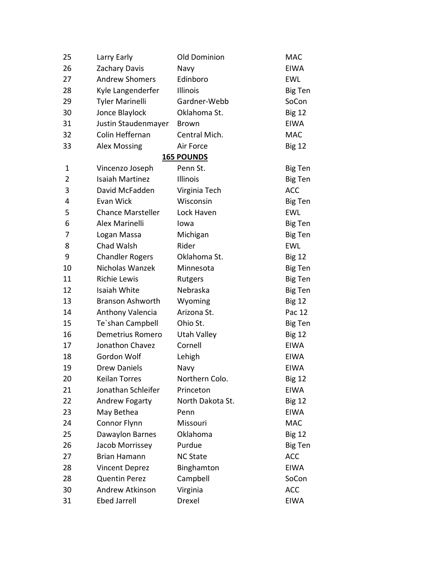| 25             | Larry Early              | Old Dominion      | <b>MAC</b>     |
|----------------|--------------------------|-------------------|----------------|
| 26             | Zachary Davis            | Navy              | <b>EIWA</b>    |
| 27             | <b>Andrew Shomers</b>    | Edinboro          | EWL            |
| 28             | Kyle Langenderfer        | Illinois          | Big Ten        |
| 29             | <b>Tyler Marinelli</b>   | Gardner-Webb      | SoCon          |
| 30             | Jonce Blaylock           | Oklahoma St.      | <b>Big 12</b>  |
| 31             | Justin Staudenmayer      | <b>Brown</b>      | <b>EIWA</b>    |
| 32             | Colin Heffernan          | Central Mich.     | <b>MAC</b>     |
| 33             | <b>Alex Mossing</b>      | Air Force         | <b>Big 12</b>  |
|                |                          | <b>165 POUNDS</b> |                |
| 1              | Vincenzo Joseph          | Penn St.          | Big Ten        |
| $\overline{2}$ | <b>Isaiah Martinez</b>   | Illinois          | Big Ten        |
| 3              | David McFadden           | Virginia Tech     | <b>ACC</b>     |
| 4              | Evan Wick                | Wisconsin         | Big Ten        |
| 5              | <b>Chance Marsteller</b> | Lock Haven        | <b>EWL</b>     |
| 6              | Alex Marinelli           | Iowa              | <b>Big Ten</b> |
| 7              | Logan Massa              | Michigan          | Big Ten        |
| 8              | Chad Walsh               | Rider             | <b>EWL</b>     |
| 9              | <b>Chandler Rogers</b>   | Oklahoma St.      | <b>Big 12</b>  |
| 10             | Nicholas Wanzek          | Minnesota         | Big Ten        |
| 11             | <b>Richie Lewis</b>      | Rutgers           | Big Ten        |
| 12             | Isaiah White             | Nebraska          | Big Ten        |
| 13             | <b>Branson Ashworth</b>  | Wyoming           | <b>Big 12</b>  |
| 14             | Anthony Valencia         | Arizona St.       | Pac 12         |
| 15             | Te'shan Campbell         | Ohio St.          | Big Ten        |
| 16             | Demetrius Romero         | Utah Valley       | <b>Big 12</b>  |
| 17             | Jonathon Chavez          | Cornell           | <b>EIWA</b>    |
| 18             | Gordon Wolf              | Lehigh            | <b>EIWA</b>    |
| 19             | <b>Drew Daniels</b>      | Navy              | <b>EIWA</b>    |
| 20             | <b>Keilan Torres</b>     | Northern Colo.    | <b>Big 12</b>  |
| 21             | Jonathan Schleifer       | Princeton         | <b>EIWA</b>    |
| 22             | <b>Andrew Fogarty</b>    | North Dakota St.  | <b>Big 12</b>  |
| 23             | May Bethea               | Penn              | <b>EIWA</b>    |
| 24             | Connor Flynn             | Missouri          | <b>MAC</b>     |
| 25             | Dawaylon Barnes          | Oklahoma          | <b>Big 12</b>  |
| 26             | Jacob Morrissey          | Purdue            | Big Ten        |
| 27             | Brian Hamann             | <b>NC State</b>   | <b>ACC</b>     |
| 28             | <b>Vincent Deprez</b>    | Binghamton        | <b>EIWA</b>    |
| 28             | <b>Quentin Perez</b>     | Campbell          | SoCon          |
| 30             | <b>Andrew Atkinson</b>   | Virginia          | <b>ACC</b>     |
| 31             | <b>Ebed Jarrell</b>      | Drexel            | <b>EIWA</b>    |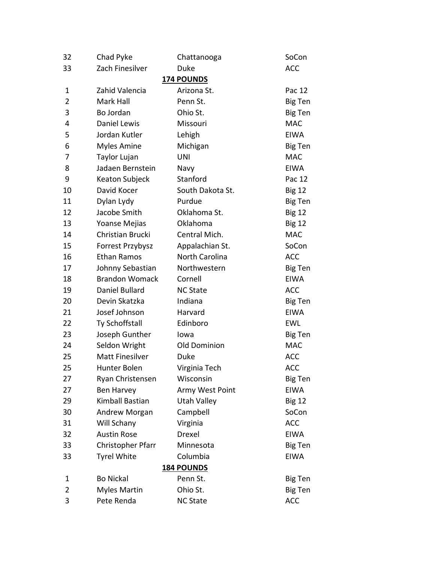| 32             | Chad Pyke              | Chattanooga         | SoCon         |
|----------------|------------------------|---------------------|---------------|
| 33             | Zach Finesilver        | Duke                | <b>ACC</b>    |
|                |                        | <b>174 POUNDS</b>   |               |
| $\mathbf{1}$   | Zahid Valencia         | Arizona St.         | Pac 12        |
| $\overline{2}$ | Mark Hall              | Penn St.            | Big Ten       |
| 3              | Bo Jordan              | Ohio St.            | Big Ten       |
| 4              | Daniel Lewis           | Missouri            | <b>MAC</b>    |
| 5              | Jordan Kutler          | Lehigh              | <b>EIWA</b>   |
| 6              | <b>Myles Amine</b>     | Michigan            | Big Ten       |
| 7              | Taylor Lujan           | <b>UNI</b>          | <b>MAC</b>    |
| 8              | Jadaen Bernstein       | Navy                | <b>EIWA</b>   |
| 9              | Keaton Subjeck         | Stanford            | Pac 12        |
| 10             | David Kocer            | South Dakota St.    | <b>Big 12</b> |
| 11             | Dylan Lydy             | Purdue              | Big Ten       |
| 12             | Jacobe Smith           | Oklahoma St.        | <b>Big 12</b> |
| 13             | Yoanse Mejias          | Oklahoma            | <b>Big 12</b> |
| 14             | Christian Brucki       | Central Mich.       | <b>MAC</b>    |
| 15             | Forrest Przybysz       | Appalachian St.     | SoCon         |
| 16             | <b>Ethan Ramos</b>     | North Carolina      | <b>ACC</b>    |
| 17             | Johnny Sebastian       | Northwestern        | Big Ten       |
| 18             | <b>Brandon Womack</b>  | Cornell             | <b>EIWA</b>   |
| 19             | Daniel Bullard         | <b>NC State</b>     | <b>ACC</b>    |
| 20             | Devin Skatzka          | Indiana             | Big Ten       |
| 21             | Josef Johnson          | Harvard             | <b>EIWA</b>   |
| 22             | Ty Schoffstall         | Edinboro            | <b>EWL</b>    |
| 23             | Joseph Gunther         | Iowa                | Big Ten       |
| 24             | Seldon Wright          | <b>Old Dominion</b> | <b>MAC</b>    |
| 25             | <b>Matt Finesilver</b> | Duke                | <b>ACC</b>    |
| 25             | <b>Hunter Bolen</b>    | Virginia Tech       | <b>ACC</b>    |
| 27             | Ryan Christensen       | Wisconsin           | Big Ten       |
| 27             | Ben Harvey             | Army West Point     | <b>EIWA</b>   |
| 29             | Kimball Bastian        | Utah Valley         | <b>Big 12</b> |
| 30             | Andrew Morgan          | Campbell            | SoCon         |
| 31             | Will Schany            | Virginia            | <b>ACC</b>    |
| 32             | <b>Austin Rose</b>     | Drexel              | <b>EIWA</b>   |
| 33             | Christopher Pfarr      | Minnesota           | Big Ten       |
| 33             | <b>Tyrel White</b>     | Columbia            | <b>EIWA</b>   |
|                |                        | <b>184 POUNDS</b>   |               |
| 1              | <b>Bo Nickal</b>       | Penn St.            | Big Ten       |
| $\overline{2}$ | <b>Myles Martin</b>    | Ohio St.            | Big Ten       |
| 3              | Pete Renda             | <b>NC State</b>     | <b>ACC</b>    |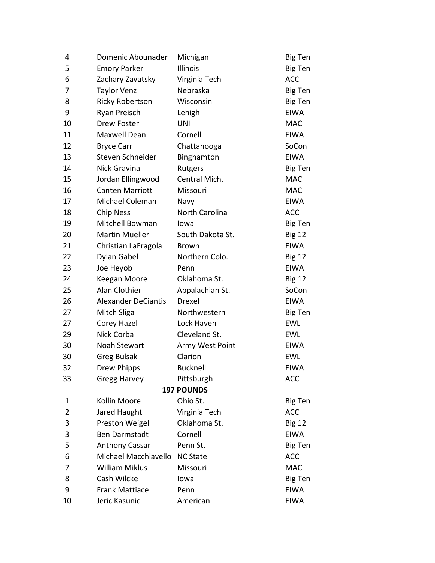| 4  | Domenic Abounader          | Michigan          | Big Ten        |
|----|----------------------------|-------------------|----------------|
| 5  | <b>Emory Parker</b>        | Illinois          | Big Ten        |
| 6  | Zachary Zavatsky           | Virginia Tech     | <b>ACC</b>     |
| 7  | <b>Taylor Venz</b>         | Nebraska          | Big Ten        |
| 8  | <b>Ricky Robertson</b>     | Wisconsin         | Big Ten        |
| 9  | Ryan Preisch               | Lehigh            | <b>EIWA</b>    |
| 10 | Drew Foster                | <b>UNI</b>        | <b>MAC</b>     |
| 11 | Maxwell Dean               | Cornell           | <b>EIWA</b>    |
| 12 | <b>Bryce Carr</b>          | Chattanooga       | SoCon          |
| 13 | Steven Schneider           | Binghamton        | <b>EIWA</b>    |
| 14 | Nick Gravina               | Rutgers           | Big Ten        |
| 15 | Jordan Ellingwood          | Central Mich.     | <b>MAC</b>     |
| 16 | <b>Canten Marriott</b>     | Missouri          | <b>MAC</b>     |
| 17 | Michael Coleman            | Navy              | <b>EIWA</b>    |
| 18 | <b>Chip Ness</b>           | North Carolina    | <b>ACC</b>     |
| 19 | Mitchell Bowman            | Iowa              | <b>Big Ten</b> |
| 20 | <b>Martin Mueller</b>      | South Dakota St.  | <b>Big 12</b>  |
| 21 | Christian LaFragola        | <b>Brown</b>      | EIWA           |
| 22 | Dylan Gabel                | Northern Colo.    | <b>Big 12</b>  |
| 23 | Joe Heyob                  | Penn              | <b>EIWA</b>    |
| 24 | Keegan Moore               | Oklahoma St.      | <b>Big 12</b>  |
| 25 | Alan Clothier              | Appalachian St.   | SoCon          |
| 26 | <b>Alexander DeCiantis</b> | Drexel            | <b>EIWA</b>    |
| 27 | Mitch Sliga                | Northwestern      | Big Ten        |
| 27 | Corey Hazel                | Lock Haven        | <b>EWL</b>     |
| 29 | Nick Corba                 | Cleveland St.     | <b>EWL</b>     |
| 30 | Noah Stewart               | Army West Point   | <b>EIWA</b>    |
| 30 | <b>Greg Bulsak</b>         | Clarion           | <b>EWL</b>     |
| 32 | <b>Drew Phipps</b>         | <b>Bucknell</b>   | <b>EIWA</b>    |
| 33 | Gregg Harvey               | Pittsburgh        | <b>ACC</b>     |
|    |                            | <b>197 POUNDS</b> |                |
| 1  | Kollin Moore               | Ohio St.          | Big Ten        |
| 2  | Jared Haught               | Virginia Tech     | <b>ACC</b>     |
| 3  | Preston Weigel             | Oklahoma St.      | <b>Big 12</b>  |
| 3  | <b>Ben Darmstadt</b>       | Cornell           | <b>EIWA</b>    |
| 5  | <b>Anthony Cassar</b>      | Penn St.          | Big Ten        |
| 6  | Michael Macchiavello       | <b>NC State</b>   | <b>ACC</b>     |
| 7  | <b>William Miklus</b>      | Missouri          | <b>MAC</b>     |
| 8  | Cash Wilcke                | Iowa              | Big Ten        |
| 9  | <b>Frank Mattiace</b>      | Penn              | <b>EIWA</b>    |
| 10 | Jeric Kasunic              | American          | <b>EIWA</b>    |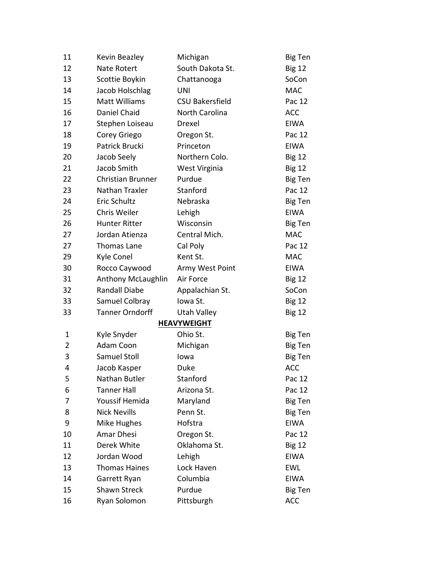| 11 | Kevin Beazley          | Michigan               | Big Ten        |
|----|------------------------|------------------------|----------------|
| 12 | Nate Rotert            | South Dakota St.       | <b>Big 12</b>  |
| 13 | Scottie Boykin         | Chattanooga            | SoCon          |
| 14 | Jacob Holschlag        | UNI                    | <b>MAC</b>     |
| 15 | Matt Williams          | <b>CSU Bakersfield</b> | Pac 12         |
| 16 | Daniel Chaid           | North Carolina         | <b>ACC</b>     |
| 17 | Stephen Loiseau        | Drexel                 | <b>EIWA</b>    |
| 18 | Corey Griego           | Oregon St.             | Pac 12         |
| 19 | Patrick Brucki         | Princeton              | <b>EIWA</b>    |
| 20 | Jacob Seely            | Northern Colo.         | <b>Big 12</b>  |
| 21 | Jacob Smith            | West Virginia          | <b>Big 12</b>  |
| 22 | Christian Brunner      | Purdue                 | Big Ten        |
| 23 | Nathan Traxler         | Stanford               | Pac 12         |
| 24 | <b>Eric Schultz</b>    | Nebraska               | Big Ten        |
| 25 | Chris Weiler           | Lehigh                 | <b>EIWA</b>    |
| 26 | <b>Hunter Ritter</b>   | Wisconsin              | Big Ten        |
| 27 | Jordan Atienza         | Central Mich.          | <b>MAC</b>     |
| 27 | Thomas Lane            | Cal Poly               | Pac 12         |
| 29 | Kyle Conel             | Kent St.               | <b>MAC</b>     |
| 30 | Rocco Caywood          | Army West Point        | EIWA           |
| 31 | Anthony McLaughlin     | Air Force              | <b>Big 12</b>  |
| 32 | <b>Randall Diabe</b>   | Appalachian St.        | SoCon          |
| 33 | Samuel Colbray         | Iowa St.               | <b>Big 12</b>  |
| 33 | <b>Tanner Orndorff</b> | <b>Utah Valley</b>     | <b>Big 12</b>  |
|    |                        | <b>HEAVYWEIGHT</b>     |                |
| 1  | Kyle Snyder            | Ohio St.               | Big Ten        |
| 2  | Adam Coon              | Michigan               | Big Ten        |
| 3  | Samuel Stoll           | lowa                   | <b>Big Ten</b> |
| 4  | Jacob Kasper           | Duke                   | <b>ACC</b>     |
| 5  | Nathan Butler          | Stanford               | Pac 12         |
| 6  | <b>Tanner Hall</b>     | Arizona St.            | Pac 12         |
| 7  | Youssif Hemida         | Maryland               | Big Ten        |
| 8  | <b>Nick Nevills</b>    | Penn St.               | <b>Big Ten</b> |
| 9  | Mike Hughes            | Hofstra                | <b>EIWA</b>    |
| 10 | Amar Dhesi             | Oregon St.             | Pac 12         |
| 11 | Derek White            | Oklahoma St.           | <b>Big 12</b>  |
| 12 | Jordan Wood            | Lehigh                 | <b>EIWA</b>    |
| 13 | <b>Thomas Haines</b>   | Lock Haven             | <b>EWL</b>     |
| 14 | Garrett Ryan           | Columbia               | <b>EIWA</b>    |
| 15 | <b>Shawn Streck</b>    | Purdue                 | Big Ten        |
| 16 | Ryan Solomon           | Pittsburgh             | <b>ACC</b>     |